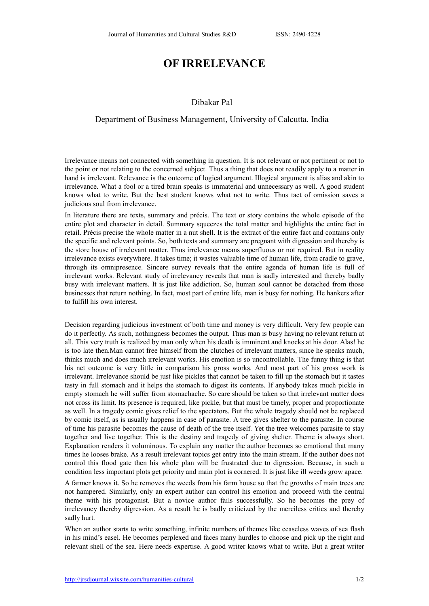## OF IRRELEVANCE

## Dibakar Pal

## Department of Business Management, University of Calcutta, India

Irrelevance means not connected with something in question. It is not relevant or not pertinent or not to the point or not relating to the concerned subject. Thus a thing that does not readily apply to a matter in hand is irrelevant. Relevance is the outcome of logical argument. Illogical argument is alias and akin to irrelevance. What a fool or a tired brain speaks is immaterial and unnecessary as well. A good student knows what to write. But the best student knows what not to write. Thus tact of omission saves a judicious soul from irrelevance.

In literature there are texts, summary and précis. The text or story contains the whole episode of the entire plot and character in detail. Summary squeezes the total matter and highlights the entire fact in retail. Précis precise the whole matter in a nut shell. It is the extract of the entire fact and contains only the specific and relevant points. So, both texts and summary are pregnant with digression and thereby is the store house of irrelevant matter. Thus irrelevance means superfluous or not required. But in reality irrelevance exists everywhere. It takes time; it wastes valuable time of human life, from cradle to grave, through its omnipresence. Sincere survey reveals that the entire agenda of human life is full of irrelevant works. Relevant study of irrelevancy reveals that man is sadly interested and thereby badly busy with irrelevant matters. It is just like addiction. So, human soul cannot be detached from those businesses that return nothing. In fact, most part of entire life, man is busy for nothing. He hankers after to fulfill his own interest.

Decision regarding judicious investment of both time and money is very difficult. Very few people can do it perfectly. As such, nothingness becomes the output. Thus man is busy having no relevant return at all. This very truth is realized by man only when his death is imminent and knocks at his door. Alas! he is too late then.Man cannot free himself from the clutches of irrelevant matters, since he speaks much, thinks much and does much irrelevant works. His emotion is so uncontrollable. The funny thing is that his net outcome is very little in comparison his gross works. And most part of his gross work is irrelevant. Irrelevance should be just like pickles that cannot be taken to fill up the stomach but it tastes tasty in full stomach and it helps the stomach to digest its contents. If anybody takes much pickle in empty stomach he will suffer from stomachache. So care should be taken so that irrelevant matter does not cross its limit. Its presence is required, like pickle, but that must be timely, proper and proportionate as well. In a tragedy comic gives relief to the spectators. But the whole tragedy should not be replaced by comic itself, as is usually happens in case of parasite. A tree gives shelter to the parasite. In course of time his parasite becomes the cause of death of the tree itself. Yet the tree welcomes parasite to stay together and live together. This is the destiny and tragedy of giving shelter. Theme is always short. Explanation renders it voluminous. To explain any matter the author becomes so emotional that many times he looses brake. As a result irrelevant topics get entry into the main stream. If the author does not control this flood gate then his whole plan will be frustrated due to digression. Because, in such a condition less important plots get priority and main plot is cornered. It is just like ill weeds grow apace.

A farmer knows it. So he removes the weeds from his farm house so that the growths of main trees are not hampered. Similarly, only an expert author can control his emotion and proceed with the central theme with his protagonist. But a novice author fails successfully. So he becomes the prey of irrelevancy thereby digression. As a result he is badly criticized by the merciless critics and thereby sadly hurt.

When an author starts to write something, infinite numbers of themes like ceaseless waves of sea flash in his mind's easel. He becomes perplexed and faces many hurdles to choose and pick up the right and relevant shell of the sea. Here needs expertise. A good writer knows what to write. But a great writer